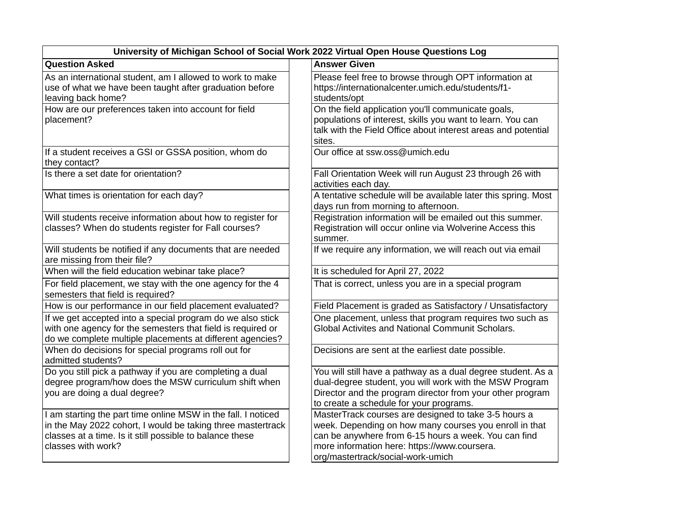| University of Michigan School of Social Work 2022 Virtual Open House Questions Log                                                                                                                             |                                                                                                                                                                                                                                                             |  |  |  |
|----------------------------------------------------------------------------------------------------------------------------------------------------------------------------------------------------------------|-------------------------------------------------------------------------------------------------------------------------------------------------------------------------------------------------------------------------------------------------------------|--|--|--|
| <b>Question Asked</b>                                                                                                                                                                                          | <b>Answer Given</b>                                                                                                                                                                                                                                         |  |  |  |
| As an international student, am I allowed to work to make<br>use of what we have been taught after graduation before<br>leaving back home?                                                                     | Please feel free to browse through OPT information at<br>https://internationalcenter.umich.edu/students/f1-<br>students/opt                                                                                                                                 |  |  |  |
| How are our preferences taken into account for field<br>placement?                                                                                                                                             | On the field application you'll communicate goals,<br>populations of interest, skills you want to learn. You can<br>talk with the Field Office about interest areas and potential<br>sites.                                                                 |  |  |  |
| If a student receives a GSI or GSSA position, whom do<br>they contact?                                                                                                                                         | Our office at ssw.oss@umich.edu                                                                                                                                                                                                                             |  |  |  |
| Is there a set date for orientation?                                                                                                                                                                           | Fall Orientation Week will run August 23 through 26 with<br>activities each day.                                                                                                                                                                            |  |  |  |
| What times is orientation for each day?                                                                                                                                                                        | A tentative schedule will be available later this spring. Most<br>days run from morning to afternoon.                                                                                                                                                       |  |  |  |
| Will students receive information about how to register for<br>classes? When do students register for Fall courses?                                                                                            | Registration information will be emailed out this summer.<br>Registration will occur online via Wolverine Access this<br>summer.                                                                                                                            |  |  |  |
| Will students be notified if any documents that are needed<br>are missing from their file?                                                                                                                     | If we require any information, we will reach out via email                                                                                                                                                                                                  |  |  |  |
| When will the field education webinar take place?                                                                                                                                                              | It is scheduled for April 27, 2022                                                                                                                                                                                                                          |  |  |  |
| For field placement, we stay with the one agency for the 4<br>semesters that field is required?                                                                                                                | That is correct, unless you are in a special program                                                                                                                                                                                                        |  |  |  |
| How is our performance in our field placement evaluated?                                                                                                                                                       | Field Placement is graded as Satisfactory / Unsatisfactory                                                                                                                                                                                                  |  |  |  |
| If we get accepted into a special program do we also stick<br>with one agency for the semesters that field is required or<br>do we complete multiple placements at different agencies?                         | One placement, unless that program requires two such as<br><b>Global Activites and National Communit Scholars.</b>                                                                                                                                          |  |  |  |
| When do decisions for special programs roll out for<br>admitted students?                                                                                                                                      | Decisions are sent at the earliest date possible.                                                                                                                                                                                                           |  |  |  |
| Do you still pick a pathway if you are completing a dual<br>degree program/how does the MSW curriculum shift when<br>you are doing a dual degree?                                                              | You will still have a pathway as a dual degree student. As a<br>dual-degree student, you will work with the MSW Program<br>Director and the program director from your other program<br>to create a schedule for your programs.                             |  |  |  |
| I am starting the part time online MSW in the fall. I noticed<br>in the May 2022 cohort, I would be taking three mastertrack<br>classes at a time. Is it still possible to balance these<br>classes with work? | MasterTrack courses are designed to take 3-5 hours a<br>week. Depending on how many courses you enroll in that<br>can be anywhere from 6-15 hours a week. You can find<br>more information here: https://www.coursera.<br>org/mastertrack/social-work-umich |  |  |  |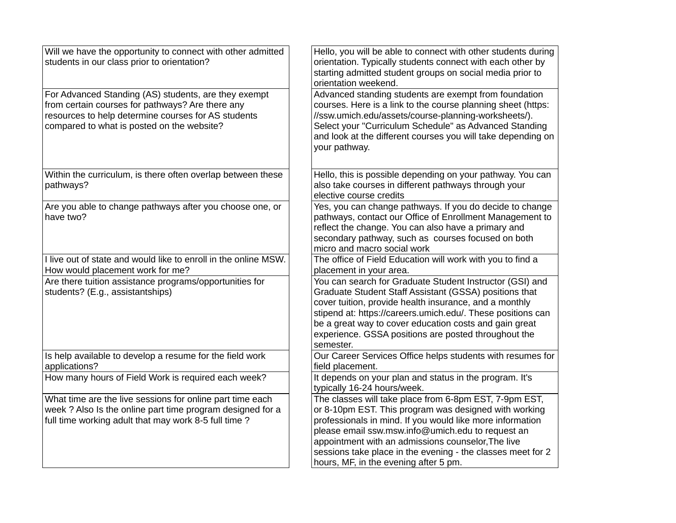| Will we have the opportunity to connect with other admitted<br>students in our class prior to orientation?                                                                                                    | Hello, you will be able to connect with other students during<br>orientation. Typically students connect with each other by<br>starting admitted student groups on social media prior to<br>orientation weekend.                                                                                                                                                                                |
|---------------------------------------------------------------------------------------------------------------------------------------------------------------------------------------------------------------|-------------------------------------------------------------------------------------------------------------------------------------------------------------------------------------------------------------------------------------------------------------------------------------------------------------------------------------------------------------------------------------------------|
| For Advanced Standing (AS) students, are they exempt<br>from certain courses for pathways? Are there any<br>resources to help determine courses for AS students<br>compared to what is posted on the website? | Advanced standing students are exempt from foundation<br>courses. Here is a link to the course planning sheet (https:<br>//ssw.umich.edu/assets/course-planning-worksheets/).<br>Select your "Curriculum Schedule" as Advanced Standing<br>and look at the different courses you will take depending on<br>your pathway.                                                                        |
| Within the curriculum, is there often overlap between these<br>pathways?                                                                                                                                      | Hello, this is possible depending on your pathway. You can<br>also take courses in different pathways through your<br>elective course credits                                                                                                                                                                                                                                                   |
| Are you able to change pathways after you choose one, or<br>have two?                                                                                                                                         | Yes, you can change pathways. If you do decide to change<br>pathways, contact our Office of Enrollment Management to<br>reflect the change. You can also have a primary and<br>secondary pathway, such as courses focused on both<br>micro and macro social work                                                                                                                                |
| I live out of state and would like to enroll in the online MSW.<br>How would placement work for me?                                                                                                           | The office of Field Education will work with you to find a<br>placement in your area.                                                                                                                                                                                                                                                                                                           |
| Are there tuition assistance programs/opportunities for<br>students? (E.g., assistantships)                                                                                                                   | You can search for Graduate Student Instructor (GSI) and<br>Graduate Student Staff Assistant (GSSA) positions that<br>cover tuition, provide health insurance, and a monthly<br>stipend at: https://careers.umich.edu/. These positions can<br>be a great way to cover education costs and gain great<br>experience. GSSA positions are posted throughout the<br>semester.                      |
| Is help available to develop a resume for the field work<br>applications?                                                                                                                                     | Our Career Services Office helps students with resumes for<br>field placement.                                                                                                                                                                                                                                                                                                                  |
| How many hours of Field Work is required each week?                                                                                                                                                           | It depends on your plan and status in the program. It's<br>typically 16-24 hours/week.                                                                                                                                                                                                                                                                                                          |
| What time are the live sessions for online part time each<br>week ? Also Is the online part time program designed for a<br>full time working adult that may work 8-5 full time?                               | The classes will take place from 6-8pm EST, 7-9pm EST,<br>or 8-10pm EST. This program was designed with working<br>professionals in mind. If you would like more information<br>please email ssw.msw.info@umich.edu to request an<br>appointment with an admissions counselor, The live<br>sessions take place in the evening - the classes meet for 2<br>hours, MF, in the evening after 5 pm. |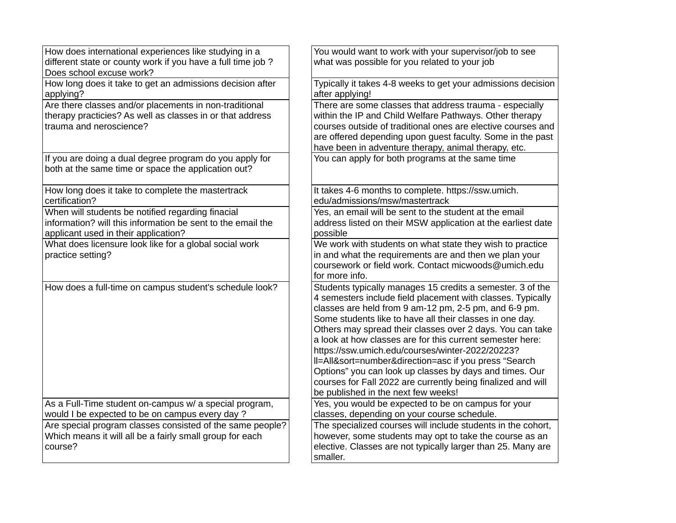| How does international experiences like studying in a                                                                                                    | You would want to work with your supervisor/job to see                                                                                                                                                                                                                                                                                                                                                                                                                                                                                                                                                                                                  |
|----------------------------------------------------------------------------------------------------------------------------------------------------------|---------------------------------------------------------------------------------------------------------------------------------------------------------------------------------------------------------------------------------------------------------------------------------------------------------------------------------------------------------------------------------------------------------------------------------------------------------------------------------------------------------------------------------------------------------------------------------------------------------------------------------------------------------|
| different state or county work if you have a full time job ?<br>Does school excuse work?                                                                 | what was possible for you related to your job                                                                                                                                                                                                                                                                                                                                                                                                                                                                                                                                                                                                           |
| How long does it take to get an admissions decision after<br>applying?                                                                                   | Typically it takes 4-8 weeks to get your admissions decision<br>after applying!                                                                                                                                                                                                                                                                                                                                                                                                                                                                                                                                                                         |
| Are there classes and/or placements in non-traditional<br>therapy practicies? As well as classes in or that address<br>trauma and neroscience?           | There are some classes that address trauma - especially<br>within the IP and Child Welfare Pathways. Other therapy<br>courses outside of traditional ones are elective courses and<br>are offered depending upon guest faculty. Some in the past<br>have been in adventure therapy, animal therapy, etc.                                                                                                                                                                                                                                                                                                                                                |
| If you are doing a dual degree program do you apply for<br>both at the same time or space the application out?                                           | You can apply for both programs at the same time                                                                                                                                                                                                                                                                                                                                                                                                                                                                                                                                                                                                        |
| How long does it take to complete the mastertrack<br>certification?                                                                                      | It takes 4-6 months to complete. https://ssw.umich.<br>edu/admissions/msw/mastertrack                                                                                                                                                                                                                                                                                                                                                                                                                                                                                                                                                                   |
| When will students be notified regarding finacial<br>information? will this information be sent to the email the<br>applicant used in their application? | Yes, an email will be sent to the student at the email<br>address listed on their MSW application at the earliest date<br>possible                                                                                                                                                                                                                                                                                                                                                                                                                                                                                                                      |
| What does licensure look like for a global social work<br>practice setting?                                                                              | We work with students on what state they wish to practice<br>in and what the requirements are and then we plan your<br>coursework or field work. Contact micwoods@umich.edu<br>for more info.                                                                                                                                                                                                                                                                                                                                                                                                                                                           |
| How does a full-time on campus student's schedule look?                                                                                                  | Students typically manages 15 credits a semester. 3 of the<br>4 semesters include field placement with classes. Typically<br>classes are held from 9 am-12 pm, 2-5 pm, and 6-9 pm.<br>Some students like to have all their classes in one day.<br>Others may spread their classes over 2 days. You can take<br>a look at how classes are for this current semester here:<br>https://ssw.umich.edu/courses/winter-2022/20223?<br>II=All&sort=number&direction=asc if you press "Search<br>Options" you can look up classes by days and times. Our<br>courses for Fall 2022 are currently being finalized and will<br>be published in the next few weeks! |
| As a Full-Time student on-campus w/ a special program,<br>would I be expected to be on campus every day ?                                                | Yes, you would be expected to be on campus for your<br>classes, depending on your course schedule.                                                                                                                                                                                                                                                                                                                                                                                                                                                                                                                                                      |
| Are special program classes consisted of the same people?<br>Which means it will all be a fairly small group for each<br>course?                         | The specialized courses will include students in the cohort,<br>however, some students may opt to take the course as an<br>elective. Classes are not typically larger than 25. Many are<br>smaller.                                                                                                                                                                                                                                                                                                                                                                                                                                                     |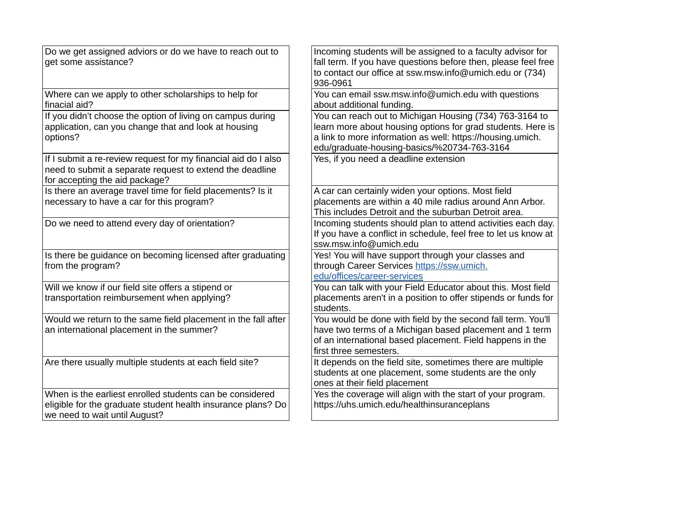| Do we get assigned adviors or do we have to reach out to<br>get some assistance?                                                                             | Incoming students will be assigned to a faculty advisor for<br>fall term. If you have questions before then, please feel free<br>to contact our office at ssw.msw.info@umich.edu or (734)<br>936-0961                               |
|--------------------------------------------------------------------------------------------------------------------------------------------------------------|-------------------------------------------------------------------------------------------------------------------------------------------------------------------------------------------------------------------------------------|
| Where can we apply to other scholarships to help for<br>finacial aid?                                                                                        | You can email ssw.msw.info@umich.edu with questions<br>about additional funding.                                                                                                                                                    |
| If you didn't choose the option of living on campus during<br>application, can you change that and look at housing<br>options?                               | You can reach out to Michigan Housing (734) 763-3164 to<br>learn more about housing options for grad students. Here is<br>a link to more information as well: https://housing.umich.<br>edu/graduate-housing-basics/%20734-763-3164 |
| If I submit a re-review request for my financial aid do I also<br>need to submit a separate request to extend the deadline<br>for accepting the aid package? | Yes, if you need a deadline extension                                                                                                                                                                                               |
| Is there an average travel time for field placements? Is it<br>necessary to have a car for this program?                                                     | A car can certainly widen your options. Most field<br>placements are within a 40 mile radius around Ann Arbor.<br>This includes Detroit and the suburban Detroit area.                                                              |
| Do we need to attend every day of orientation?                                                                                                               | Incoming students should plan to attend activities each day.<br>If you have a conflict in schedule, feel free to let us know at<br>ssw.msw.info@umich.edu                                                                           |
| Is there be guidance on becoming licensed after graduating<br>from the program?                                                                              | Yes! You will have support through your classes and<br>through Career Services https://ssw.umich.<br>edu/offices/career-services                                                                                                    |
| Will we know if our field site offers a stipend or<br>transportation reimbursement when applying?                                                            | You can talk with your Field Educator about this. Most field<br>placements aren't in a position to offer stipends or funds for<br>students.                                                                                         |
| Would we return to the same field placement in the fall after<br>an international placement in the summer?                                                   | You would be done with field by the second fall term. You'll<br>have two terms of a Michigan based placement and 1 term<br>of an international based placement. Field happens in the<br>first three semesters.                      |
| Are there usually multiple students at each field site?                                                                                                      | It depends on the field site, sometimes there are multiple<br>students at one placement, some students are the only<br>ones at their field placement                                                                                |
| When is the earliest enrolled students can be considered<br>eligible for the graduate student health insurance plans? Do<br>we need to wait until August?    | Yes the coverage will align with the start of your program.<br>https://uhs.umich.edu/healthinsuranceplans                                                                                                                           |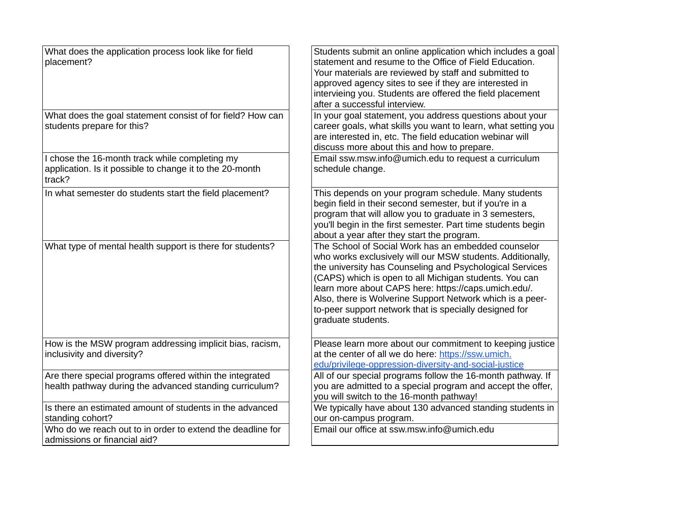| What does the application process look like for field<br>placement?                                                  | Students submit an online application which includes a goal<br>statement and resume to the Office of Field Education.<br>Your materials are reviewed by staff and submitted to<br>approved agency sites to see if they are interested in<br>intervieing you. Students are offered the field placement<br>after a successful interview.                                                                                                       |
|----------------------------------------------------------------------------------------------------------------------|----------------------------------------------------------------------------------------------------------------------------------------------------------------------------------------------------------------------------------------------------------------------------------------------------------------------------------------------------------------------------------------------------------------------------------------------|
| What does the goal statement consist of for field? How can<br>students prepare for this?                             | In your goal statement, you address questions about your<br>career goals, what skills you want to learn, what setting you<br>are interested in, etc. The field education webinar will<br>discuss more about this and how to prepare.                                                                                                                                                                                                         |
| I chose the 16-month track while completing my<br>application. Is it possible to change it to the 20-month<br>track? | Email ssw.msw.info@umich.edu to request a curriculum<br>schedule change.                                                                                                                                                                                                                                                                                                                                                                     |
| In what semester do students start the field placement?                                                              | This depends on your program schedule. Many students<br>begin field in their second semester, but if you're in a<br>program that will allow you to graduate in 3 semesters,<br>you'll begin in the first semester. Part time students begin<br>about a year after they start the program.                                                                                                                                                    |
| What type of mental health support is there for students?                                                            | The School of Social Work has an embedded counselor<br>who works exclusively will our MSW students. Additionally,<br>the university has Counseling and Psychological Services<br>(CAPS) which is open to all Michigan students. You can<br>learn more about CAPS here: https://caps.umich.edu/.<br>Also, there is Wolverine Support Network which is a peer-<br>to-peer support network that is specially designed for<br>graduate students. |
| How is the MSW program addressing implicit bias, racism,<br>inclusivity and diversity?                               | Please learn more about our commitment to keeping justice<br>at the center of all we do here: https://ssw.umich.<br>edu/privilege-oppression-diversity-and-social-justice                                                                                                                                                                                                                                                                    |
| Are there special programs offered within the integrated<br>health pathway during the advanced standing curriculum?  | All of our special programs follow the 16-month pathway. If<br>you are admitted to a special program and accept the offer,<br>you will switch to the 16-month pathway!                                                                                                                                                                                                                                                                       |
| Is there an estimated amount of students in the advanced<br>standing cohort?                                         | We typically have about 130 advanced standing students in<br>our on-campus program.                                                                                                                                                                                                                                                                                                                                                          |
| Who do we reach out to in order to extend the deadline for<br>admissions or financial aid?                           | Email our office at ssw.msw.info@umich.edu                                                                                                                                                                                                                                                                                                                                                                                                   |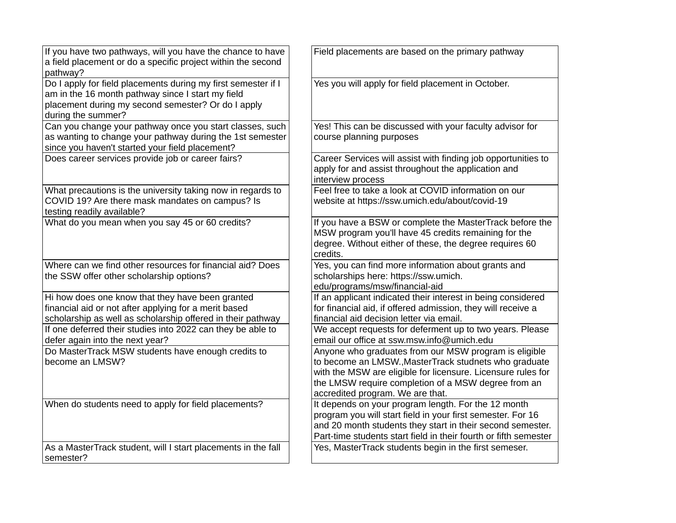| If you have two pathways, will you have the chance to have<br>a field placement or do a specific project within the second<br>pathway?                                                         | Field placements are based on the primary pathway                                                                                                                                                                                                                         |
|------------------------------------------------------------------------------------------------------------------------------------------------------------------------------------------------|---------------------------------------------------------------------------------------------------------------------------------------------------------------------------------------------------------------------------------------------------------------------------|
| Do I apply for field placements during my first semester if I<br>am in the 16 month pathway since I start my field<br>placement during my second semester? Or do I apply<br>during the summer? | Yes you will apply for field placement in October.                                                                                                                                                                                                                        |
| Can you change your pathway once you start classes, such<br>as wanting to change your pathway during the 1st semester<br>since you haven't started your field placement?                       | Yes! This can be discussed with your faculty advisor for<br>course planning purposes                                                                                                                                                                                      |
| Does career services provide job or career fairs?                                                                                                                                              | Career Services will assist with finding job opportunities to<br>apply for and assist throughout the application and<br>interview process                                                                                                                                 |
| What precautions is the university taking now in regards to<br>COVID 19? Are there mask mandates on campus? Is<br>testing readily available?                                                   | Feel free to take a look at COVID information on our<br>website at https://ssw.umich.edu/about/covid-19                                                                                                                                                                   |
| What do you mean when you say 45 or 60 credits?                                                                                                                                                | If you have a BSW or complete the MasterTrack before the<br>MSW program you'll have 45 credits remaining for the<br>degree. Without either of these, the degree requires 60<br>credits.                                                                                   |
| Where can we find other resources for financial aid? Does<br>the SSW offer other scholarship options?                                                                                          | Yes, you can find more information about grants and<br>scholarships here: https://ssw.umich.<br>edu/programs/msw/financial-aid                                                                                                                                            |
| Hi how does one know that they have been granted<br>financial aid or not after applying for a merit based<br>scholarship as well as scholarship offered in their pathway                       | If an applicant indicated their interest in being considered<br>for financial aid, if offered admission, they will receive a<br>financial aid decision letter via email.                                                                                                  |
| If one deferred their studies into 2022 can they be able to<br>defer again into the next year?                                                                                                 | We accept requests for deferment up to two years. Please<br>email our office at ssw.msw.info@umich.edu                                                                                                                                                                    |
| Do MasterTrack MSW students have enough credits to<br>become an LMSW?                                                                                                                          | Anyone who graduates from our MSW program is eligible<br>to become an LMSW., MasterTrack studnets who graduate<br>with the MSW are eligible for licensure. Licensure rules for<br>the LMSW require completion of a MSW degree from an<br>accredited program. We are that. |
| When do students need to apply for field placements?                                                                                                                                           | It depends on your program length. For the 12 month<br>program you will start field in your first semester. For 16<br>and 20 month students they start in their second semester.<br>Part-time students start field in their fourth or fifth semester                      |
| As a MasterTrack student, will I start placements in the fall<br>semester?                                                                                                                     | Yes, MasterTrack students begin in the first semeser.                                                                                                                                                                                                                     |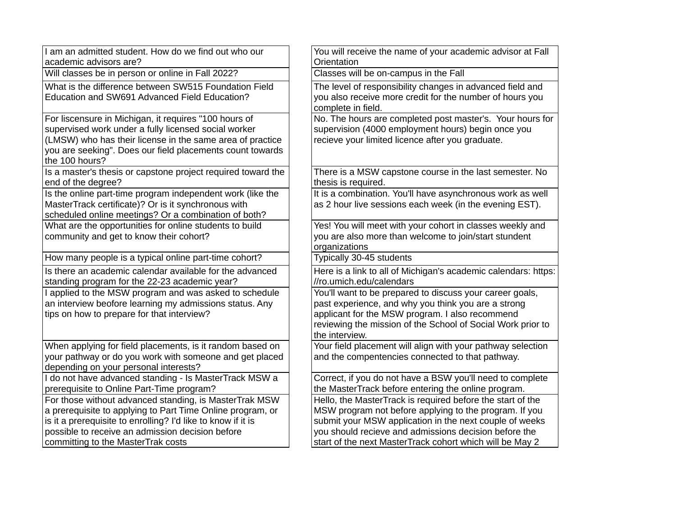| academic advisors are?<br>Orientation<br>Will classes be in person or online in Fall 2022?<br>Classes will be on-campus in the Fall<br>What is the difference between SW515 Foundation Field<br>The level of responsibility changes in advanced field and<br>Education and SW691 Advanced Field Education?<br>you also receive more credit for the number of hours you<br>complete in field.<br>No. The hours are completed post master's. Your hours for<br>For liscensure in Michigan, it requires "100 hours of<br>supervised work under a fully licensed social worker<br>supervision (4000 employment hours) begin once you<br>(LMSW) who has their license in the same area of practice<br>recieve your limited licence after you graduate.<br>you are seeking". Does our field placements count towards<br>the 100 hours?<br>Is a master's thesis or capstone project required toward the<br>There is a MSW capstone course in the last semester. No |  |
|-------------------------------------------------------------------------------------------------------------------------------------------------------------------------------------------------------------------------------------------------------------------------------------------------------------------------------------------------------------------------------------------------------------------------------------------------------------------------------------------------------------------------------------------------------------------------------------------------------------------------------------------------------------------------------------------------------------------------------------------------------------------------------------------------------------------------------------------------------------------------------------------------------------------------------------------------------------|--|
|                                                                                                                                                                                                                                                                                                                                                                                                                                                                                                                                                                                                                                                                                                                                                                                                                                                                                                                                                             |  |
|                                                                                                                                                                                                                                                                                                                                                                                                                                                                                                                                                                                                                                                                                                                                                                                                                                                                                                                                                             |  |
|                                                                                                                                                                                                                                                                                                                                                                                                                                                                                                                                                                                                                                                                                                                                                                                                                                                                                                                                                             |  |
| thesis is required.<br>end of the degree?                                                                                                                                                                                                                                                                                                                                                                                                                                                                                                                                                                                                                                                                                                                                                                                                                                                                                                                   |  |
| It is a combination. You'll have asynchronous work as well<br>Is the online part-time program independent work (like the<br>MasterTrack certificate)? Or is it synchronous with<br>as 2 hour live sessions each week (in the evening EST).<br>scheduled online meetings? Or a combination of both?                                                                                                                                                                                                                                                                                                                                                                                                                                                                                                                                                                                                                                                          |  |
| What are the opportunities for online students to build<br>Yes! You will meet with your cohort in classes weekly and<br>you are also more than welcome to join/start stundent<br>community and get to know their cohort?<br>organizations                                                                                                                                                                                                                                                                                                                                                                                                                                                                                                                                                                                                                                                                                                                   |  |
| How many people is a typical online part-time cohort?<br>Typically 30-45 students                                                                                                                                                                                                                                                                                                                                                                                                                                                                                                                                                                                                                                                                                                                                                                                                                                                                           |  |
| Is there an academic calendar available for the advanced<br>Here is a link to all of Michigan's academic calendars: https:<br>standing program for the 22-23 academic year?<br>//ro.umich.edu/calendars                                                                                                                                                                                                                                                                                                                                                                                                                                                                                                                                                                                                                                                                                                                                                     |  |
| You'll want to be prepared to discuss your career goals,<br>I applied to the MSW program and was asked to schedule<br>an interview beofore learning my admissions status. Any<br>past experience, and why you think you are a strong<br>applicant for the MSW program. I also recommend<br>tips on how to prepare for that interview?<br>reviewing the mission of the School of Social Work prior to<br>the interview.                                                                                                                                                                                                                                                                                                                                                                                                                                                                                                                                      |  |
| Your field placement will align with your pathway selection<br>When applying for field placements, is it random based on<br>your pathway or do you work with someone and get placed<br>and the compentencies connected to that pathway.<br>depending on your personal interests?                                                                                                                                                                                                                                                                                                                                                                                                                                                                                                                                                                                                                                                                            |  |
| I do not have advanced standing - Is MasterTrack MSW a<br>Correct, if you do not have a BSW you'll need to complete<br>prerequisite to Online Part-Time program?<br>the MasterTrack before entering the online program.                                                                                                                                                                                                                                                                                                                                                                                                                                                                                                                                                                                                                                                                                                                                     |  |
| For those without advanced standing, is MasterTrak MSW<br>Hello, the MasterTrack is required before the start of the<br>a prerequisite to applying to Part Time Online program, or<br>MSW program not before applying to the program. If you<br>is it a prerequisite to enrolling? I'd like to know if it is<br>submit your MSW application in the next couple of weeks<br>possible to receive an admission decision before<br>you should recieve and admissions decision before the<br>committing to the MasterTrak costs<br>start of the next MasterTrack cohort which will be May 2                                                                                                                                                                                                                                                                                                                                                                      |  |